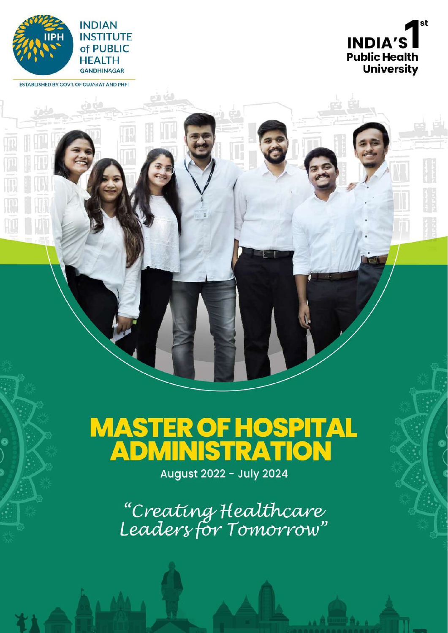

ESTABLISHED BY GOVT. OF GUJARAT AND PHFI

Ó

هغه هنته



# **MASTER OF HOSPITAL<br>ADMINISTRATION**

August 2022 - July 2024

"Creating Healthcare"<br>Leadersfor Tomorrow"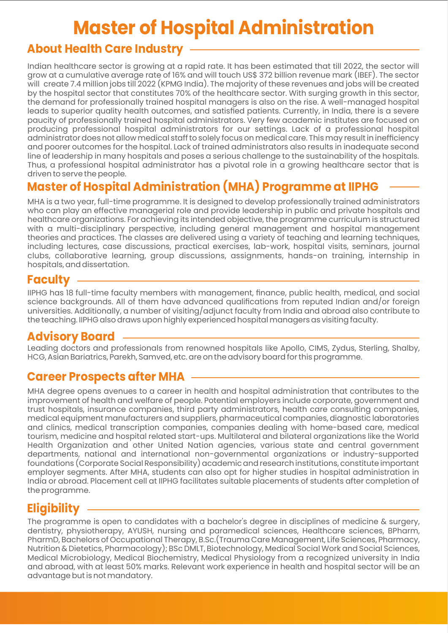## **Master of Hospital Administration**

#### **About Health Care Industry**

Indian healthcare sector is growing at a rapid rate. It has been estimated that till 2022, the sector will grow at a cumulative average rate of 16% and will touch US\$ 372 billion revenue mark (IBEF). The sector will create 7.4 million jobs till 2022 (KPMG India). The majority of these revenues and jobs will be created by the hospital sector that constitutes 70% of the healthcare sector. With surging growth in this sector, the demand for professionally trained hospital managers is also on the rise. A well-managed hospital leads to superior quality health outcomes, and satisfied patients. Currently, in India, there is a severe paucity of professionally trained hospital administrators. Very few academic institutes are focused on producing professional hospital administrators for our settings. Lack of a professional hospital administrator does not allow medical staff to solely focus on medical care. This may result in inefficiency and poorer outcomes for the hospital. Lack of trained administrators also results in inadequate second line of leadership in many hospitals and poses a serious challenge to the sustainability of the hospitals. Thus, a professional hospital administrator has a pivotal role in a growing healthcare sector that is driven to serve the people.

#### **Master of Hospital Administration (MHA) Programme at IIPHG**

MHA is a two year, full-time programme. It is designed to develop professionally trained administrators who can play an effective managerial role and provide leadership in public and private hospitals and healthcare organizations. For achieving its intended objective, the programme curriculum is structured with a multi-disciplinary perspective, including general management and hospital management theories and practices. The classes are delivered using a variety of teaching and learning techniques, including lectures, case discussions, practical exercises, lab-work, hospital visits, seminars, journal clubs, collaborative learning, group discussions, assignments, hands-on training, internship in hospitals, and dissertation.

#### **Faculty**

IIPHG has 18 full-time faculty members with management, finance, public health, medical, and social science backgrounds. All of them have advanced qualifications from reputed Indian and/or foreign universities. Additionally, a number of visiting/adjunct faculty from India and abroad also contribute to the teaching. IIPHG also draws upon highly experienced hospital managers as visiting faculty.

#### **Advisory Board**

Leading doctors and professionals from renowned hospitals like Apollo, CIMS, Zydus, Sterling, Shalby, HCG, Asian Bariatrics, Parekh, Samved, etc. are on the advisory board for this programme.

#### **Career Prospects after MHA**

MHA degree opens avenues to a career in health and hospital administration that contributes to the improvement of health and welfare of people. Potential employers include corporate, government and trust hospitals, insurance companies, third party administrators, health care consulting companies, medical equipment manufacturers and suppliers, pharmaceutical companies, diagnostic laboratories and clinics, medical transcription companies, companies dealing with home-based care, medical tourism, medicine and hospital related start-ups. Multilateral and bilateral organizations like the World Health Organization and other United Nation agencies, various state and central government departments, national and international non-governmental organizations or industry-supported foundations (Corporate Social Responsibility) academic and research institutions, constitute important employer segments. After MHA, students can also opt for higher studies in hospital administration in India or abroad. Placement cell at IIPHG facilitates suitable placements of students after completion of the programme.

#### **Eligibility**

The programme is open to candidates with a bachelor's degree in disciplines of medicine & surgery, dentistry, physiotherapy, AYUSH, nursing and paramedical sciences, Healthcare sciences, BPharm, PharmD, Bachelors of Occupational Therapy, B.Sc.(Trauma Care Management, Life Sciences, Pharmacy, Nutrition & Dietetics, Pharmacology); BSc DMLT, Biotechnology, Medical Social Work and Social Sciences, Medical Microbiology, Medical Biochemistry, Medical Physiology from a recognized university in India and abroad, with at least 50% marks. Relevant work experience in health and hospital sector will be an advantage but is not mandatory.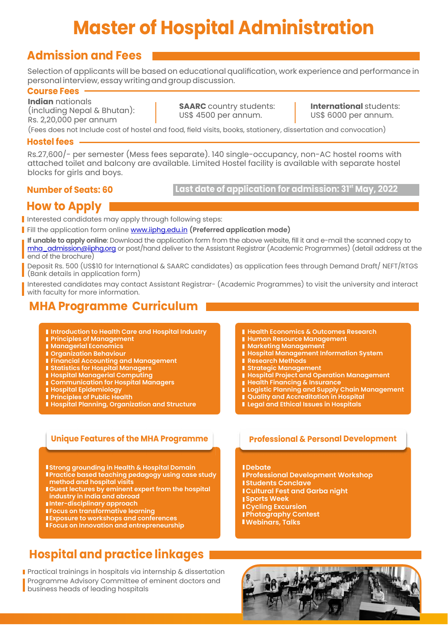## **Master of Hospital Administration**

#### **Admission and Fees**

Selection of applicants will be based on educational qualification, work experience and performance in personal interview, essay writing and group discussion.

#### **Course Fees**

**Indian** nationals (including Nepal & Bhutan): Rs. 2,20,000 per annum

**SAARC** country students: US\$ 4500 per annum.

**International** students: US\$ 6000 per annum.

(Fees does not Include cost of hostel and food, field visits, books, stationery, dissertation and convocation)

#### **Hostel fees**

Rs.27,600/- per semester (Mess fees separate). 140 single-occupancy, non-AC hostel rooms with attached toilet and balcony are available. Limited Hostel facility is available with separate hostel blocks for girls and boys.

#### **Number of Seats: 60**

Last date of application for admission: 31<sup>st</sup> May, 2022

#### **How to Apply**

I Interested candidates may apply through following steps:

Fill the application form online www.iiphg.edu.in **(Preferred application mode)** 

**If unable to apply online**: Download the application form from the above website, fill it and e-mail the scanned copy to mha\_admission@iiphg.org or post/hand deliver to the Assistant Registrar (Academic Programmes) (detail address at the end of the brochure)

Deposit Rs. 500 (US\$10 for International & SAARC candidates) as application fees through Demand Draft/ NEFT/RTGS (Bank details in application form)

Interested candidates may contact Assistant Registrar- (Academic Programmes) to visit the university and interact with faculty for more information.

#### **MHA Programme Curriculum**

- **Introduction to Health Care and Hospital Industry**
- **Principles of Management**
- **Managerial Economics**
- **Organization Behaviour**
- **Financial Accounting and Management**
- **Statistics for Hospital Managers**
- **Hospital Managerial Computing**
- **Communication for Hospital Managers**
- **Hospital Epidemiology**
- **Principles of Public Health**
- **Hospital Planning, Organization and Structure**
- **Health Economics & Outcomes Research**
- **Human Resource Management**
- **Marketing Management**
- **Hospital Management Information System**
- **Research Methods**
- **Strategic Management**
- **Hospital Project and Operation Management**
- **Health Financing & Insurance**
- **Logistic Planning and Supply Chain Management**
- **Quality and Accreditation in Hospital**
- **Legal and Ethical Issues in Hospitals**

#### **Unique Features of the MHA Programme Professional & Personal Development**

- **Strong grounding in Health & Hospital Domain**
- **Practice based teaching pedagogy using case study method and hospital visits**
- **Guest lectures by eminent expert from the hospital industry in India and abroad**
- **Inter-disciplinary approach**
- **Focus on transformative learning**
- **Exposure to workshops and conferences**
- **Focus on Innovation and entrepreneurship**

### **Hospital and practice linkages**

Practical trainings in hospitals via internship & dissertation Programme Advisory Committee of eminent doctors and business heads of leading hospitals

- **Debate**
- **Professional Development Workshop**
- **IStudents Conclave**
- **Cultural Fest and Garba night**
- **Sports Week**
- **Cycling Excursion Photography Contest**
- 
- **Webinars, Talks**